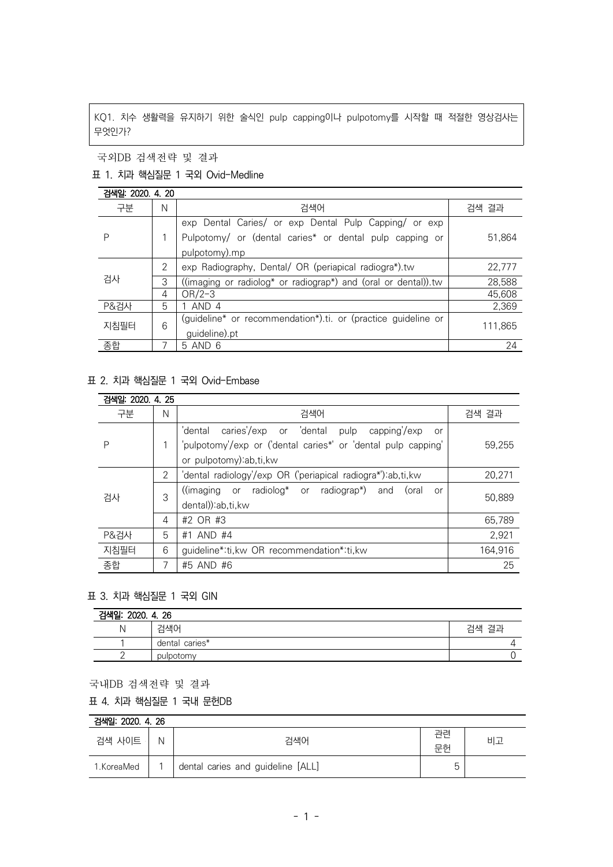KQ1. 치수 생활력을 유지하기 위한 술식인 pulp capping이나 pulpotomy를 시작할 때 적절한 영상검사는 무엇인가?

국외DB 검색전략 및 결과

## 표 1. 치과 핵심질문 1 국외 Ovid-Medline

검색일: 2020. 4. 20

| 구분<br>검색어<br>검색 결과<br>N<br>exp Dental Caries/ or exp Dental Pulp Capping/ or exp<br>Pulpotomy/ or (dental caries* or dental pulp capping or<br>P<br>pulpotomy).mp<br>2<br>exp Radiography, Dental/ OR (periapical radiogra*).tw<br>검사<br>3<br>((imaging or radiolog* or radiograp*) and (oral or dental)).tw<br>$OR/2-3$<br>4<br>1 AND 4<br>P&검사<br>5 | 892 - 8949 - 7.49 |   |                                                               |         |
|-------------------------------------------------------------------------------------------------------------------------------------------------------------------------------------------------------------------------------------------------------------------------------------------------------------------------------------------------------|-------------------|---|---------------------------------------------------------------|---------|
|                                                                                                                                                                                                                                                                                                                                                       |                   |   |                                                               |         |
|                                                                                                                                                                                                                                                                                                                                                       |                   |   |                                                               |         |
|                                                                                                                                                                                                                                                                                                                                                       |                   |   |                                                               | 51,864  |
|                                                                                                                                                                                                                                                                                                                                                       |                   |   |                                                               |         |
|                                                                                                                                                                                                                                                                                                                                                       |                   |   |                                                               | 22,777  |
|                                                                                                                                                                                                                                                                                                                                                       |                   |   |                                                               | 28,588  |
|                                                                                                                                                                                                                                                                                                                                                       |                   |   |                                                               | 45,608  |
|                                                                                                                                                                                                                                                                                                                                                       |                   |   |                                                               | 2,369   |
|                                                                                                                                                                                                                                                                                                                                                       | 지침필터              | 6 | (guideline* or recommendation*).ti. or (practice guideline or | 111,865 |
| guideline).pt                                                                                                                                                                                                                                                                                                                                         |                   |   |                                                               |         |
| 종합<br>5 AND 6<br>7                                                                                                                                                                                                                                                                                                                                    |                   |   |                                                               | 24      |

## 표 2. 치과 핵심질문 1 국외 Ovid-Embase

| 검색일: 2020. 4. 25 |   |                                                                                                                                                          |         |  |
|------------------|---|----------------------------------------------------------------------------------------------------------------------------------------------------------|---------|--|
| 구분               | N | 검색어                                                                                                                                                      | 검색 결과   |  |
| P                |   | caries'/exp or 'dental pulp<br>capping/exp<br>'dental<br>or<br>'pulpotomy'/exp or ('dental caries*' or 'dental pulp capping'<br>or pulpotomy) ab, ti, kw | 59,255  |  |
| 검사               | 2 | 'dental radiology'/exp OR ('periapical radiogra*'):ab,ti, kw                                                                                             | 20,271  |  |
|                  | 3 | $(\text{(\text{imaging} \quad or \quad \text{radiolog*} \quad or \quad \text{radiograph})})$<br>(oral<br>and<br>or<br>dental)):ab,ti,kw                  | 50.889  |  |
|                  | 4 | #2 OR #3                                                                                                                                                 | 65.789  |  |
| P&검사             | 5 | #1 AND #4                                                                                                                                                | 2,921   |  |
| 지침필터             | 6 | guideline*:ti, kw OR recommendation*:ti, kw                                                                                                              | 164.916 |  |
| 종합               | 7 | #5 AND #6                                                                                                                                                | 25      |  |

## 표 3. 치과 핵심질문 1 국외 GIN

| 검색일: 2020. 4. 26 |                |       |  |  |
|------------------|----------------|-------|--|--|
| N                | 검색어            | 검색 결과 |  |  |
|                  | dental caries* |       |  |  |
|                  | pulpotomy      |       |  |  |

국내DB 검색전략 및 결과

## 표 4. 치과 핵심질문 1 국내 문헌DB

| 검색일: 2020. 4. 26 |   |                                   |        |    |  |
|------------------|---|-----------------------------------|--------|----|--|
| 검색 사이트           | N | 검색어                               | 과려     | 비고 |  |
|                  |   |                                   | 문헌     |    |  |
| 1.KoreaMed       |   | dental caries and guideline [ALL] | h<br>J |    |  |